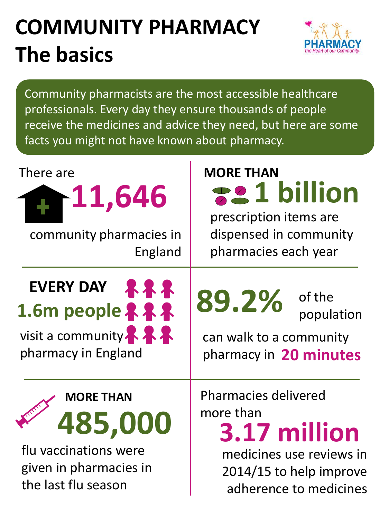## **COMMUNITY PHARMACY The basics**



Community pharmacists are the most accessible healthcare professionals. Every day they ensure thousands of people receive the medicines and advice they need, but here are some facts you might not have known about pharmacy.

| There are<br><b>11,646</b><br>community pharmacies in<br>England                                      | <b>MORE THAN</b><br><b>221 billion</b><br>prescription items are<br>dispensed in community<br>pharmacies each year                        |
|-------------------------------------------------------------------------------------------------------|-------------------------------------------------------------------------------------------------------------------------------------------|
| EVERY DAY AR<br>1.6m people 222<br>visit a community. A.A.<br>pharmacy in England                     | 89.2%<br>of the<br>population<br>can walk to a community<br>pharmacy in 20 minutes                                                        |
| <b>MORE THAN</b><br>485,000<br>flu vaccinations were<br>given in pharmacies in<br>the last flu season | <b>Pharmacies delivered</b><br>more than<br>3.17 million<br>medicines use reviews in<br>2014/15 to help improve<br>adherence to medicines |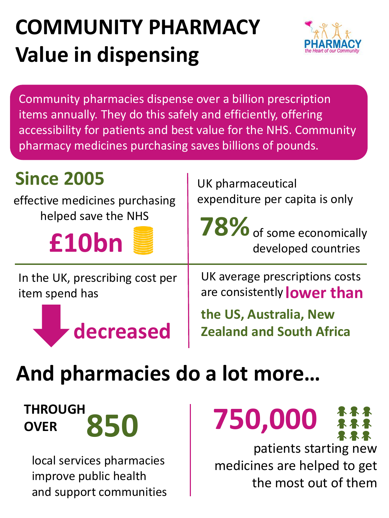## **COMMUNITY PHARMACY Value in dispensing**



Community pharmacies dispense over a billion prescription items annually. They do this safely and efficiently, offering accessibility for patients and best value for the NHS. Community pharmacy medicines purchasing saves billions of pounds.

### **Since 2005**

effective medicines purchasing helped save the NHS

**£10bn**

In the UK, prescribing cost per item spend has



UK pharmaceutical expenditure per capita is only

**78%** of some economically developed countries

UK average prescriptions costs are consistently **lower than**

**the US, Australia, New Zealand and South Africa** 

## **And pharmacies do a lot more…**

**THROUGH OVER**

local services pharmacies improve public health and support communities



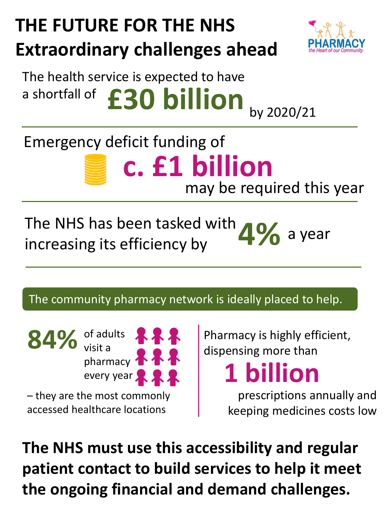## **THE FUTURE FOR THE NHS Extraordinary challenges ahead**



## The health service is expected to have a shortfall of **£30 billion** by 2020/21

### **c. £1 billion** may be required this year Emergency deficit funding of

### The NHS has been tasked with increasing its efficiency by **4%** a year

#### The community pharmacy network is ideally placed to help.

84% of adults visit a pharmacy **XXX** every year & & & – they are the most commonly accessed healthcare locations

Pharmacy is highly efficient, dispensing more than

**1 billion**

prescriptions annually and keeping medicines costs low

**The NHS must use this accessibility and regular patient contact to build services to help it meet the ongoing financial and demand challenges.**